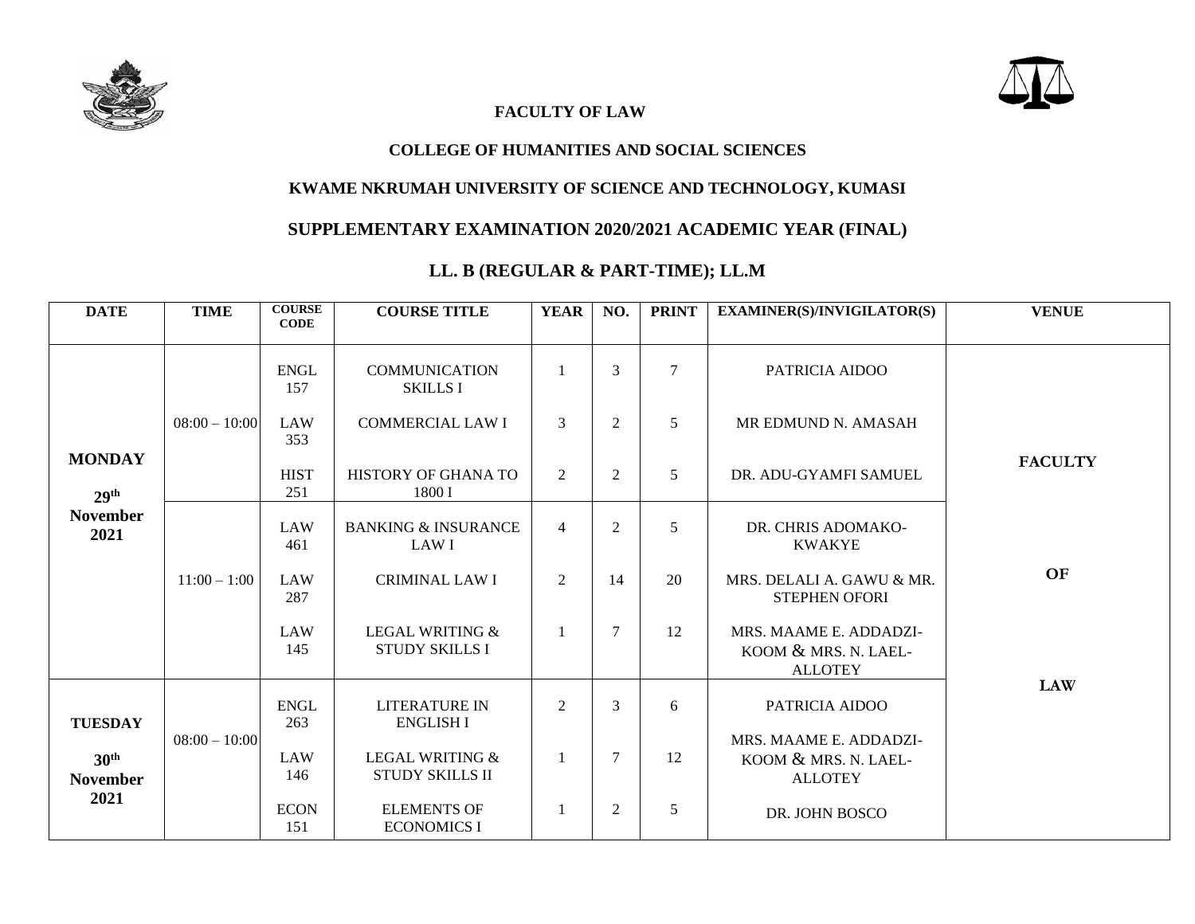



### **FACULTY OF LAW**

#### **COLLEGE OF HUMANITIES AND SOCIAL SCIENCES**

#### **KWAME NKRUMAH UNIVERSITY OF SCIENCE AND TECHNOLOGY, KUMASI**

## **SUPPLEMENTARY EXAMINATION 2020/2021 ACADEMIC YEAR (FINAL)**

### **LL. B (REGULAR & PART-TIME); LL.M**

| <b>DATE</b>                                                   | <b>TIME</b>     | <b>COURSE</b><br><b>CODE</b> | <b>COURSE TITLE</b>                                 | <b>YEAR</b>    | NO.            | <b>PRINT</b>   | <b>EXAMINER(S)/INVIGILATOR(S)</b>                                | <b>VENUE</b>   |
|---------------------------------------------------------------|-----------------|------------------------------|-----------------------------------------------------|----------------|----------------|----------------|------------------------------------------------------------------|----------------|
| <b>MONDAY</b><br>29 <sup>th</sup><br><b>November</b><br>2021  | $08:00 - 10:00$ | <b>ENGL</b><br>157           | <b>COMMUNICATION</b><br><b>SKILLS I</b>             | 1              | 3              | $\tau$         | PATRICIA AIDOO                                                   |                |
|                                                               |                 | <b>LAW</b><br>353            | <b>COMMERCIAL LAW I</b>                             | $\overline{3}$ | $\overline{2}$ | 5              | MR EDMUND N. AMASAH                                              |                |
|                                                               |                 | <b>HIST</b><br>251           | HISTORY OF GHANA TO<br>1800 I                       | $\overline{2}$ | 2              | $\mathfrak{H}$ | DR. ADU-GYAMFI SAMUEL                                            | <b>FACULTY</b> |
|                                                               | $11:00 - 1:00$  | <b>LAW</b><br>461            | <b>BANKING &amp; INSURANCE</b><br>LAW I             | $\overline{4}$ | $\overline{2}$ | 5              | DR. CHRIS ADOMAKO-<br><b>KWAKYE</b>                              |                |
|                                                               |                 | <b>LAW</b><br>287            | <b>CRIMINAL LAW I</b>                               | $\overline{2}$ | 14             | 20             | MRS. DELALI A. GAWU & MR.<br><b>STEPHEN OFORI</b>                | OF             |
|                                                               |                 | LAW<br>145                   | <b>LEGAL WRITING &amp;</b><br><b>STUDY SKILLS I</b> | 1              | $\tau$         | 12             | MRS. MAAME E. ADDADZI-<br>KOOM & MRS. N. LAEL-<br><b>ALLOTEY</b> |                |
| <b>TUESDAY</b><br>30 <sup>th</sup><br><b>November</b><br>2021 | $08:00 - 10:00$ | <b>ENGL</b><br>263           | <b>LITERATURE IN</b><br><b>ENGLISH I</b>            | $\overline{2}$ | 3              | 6              | PATRICIA AIDOO                                                   | <b>LAW</b>     |
|                                                               |                 | LAW<br>146                   | <b>LEGAL WRITING &amp;</b><br>STUDY SKILLS II       | 1              | $\tau$         | 12             | MRS. MAAME E. ADDADZI-<br>KOOM & MRS. N. LAEL-<br><b>ALLOTEY</b> |                |
|                                                               |                 | <b>ECON</b><br>151           | <b>ELEMENTS OF</b><br><b>ECONOMICS I</b>            | 1              | $\overline{2}$ | 5              | DR. JOHN BOSCO                                                   |                |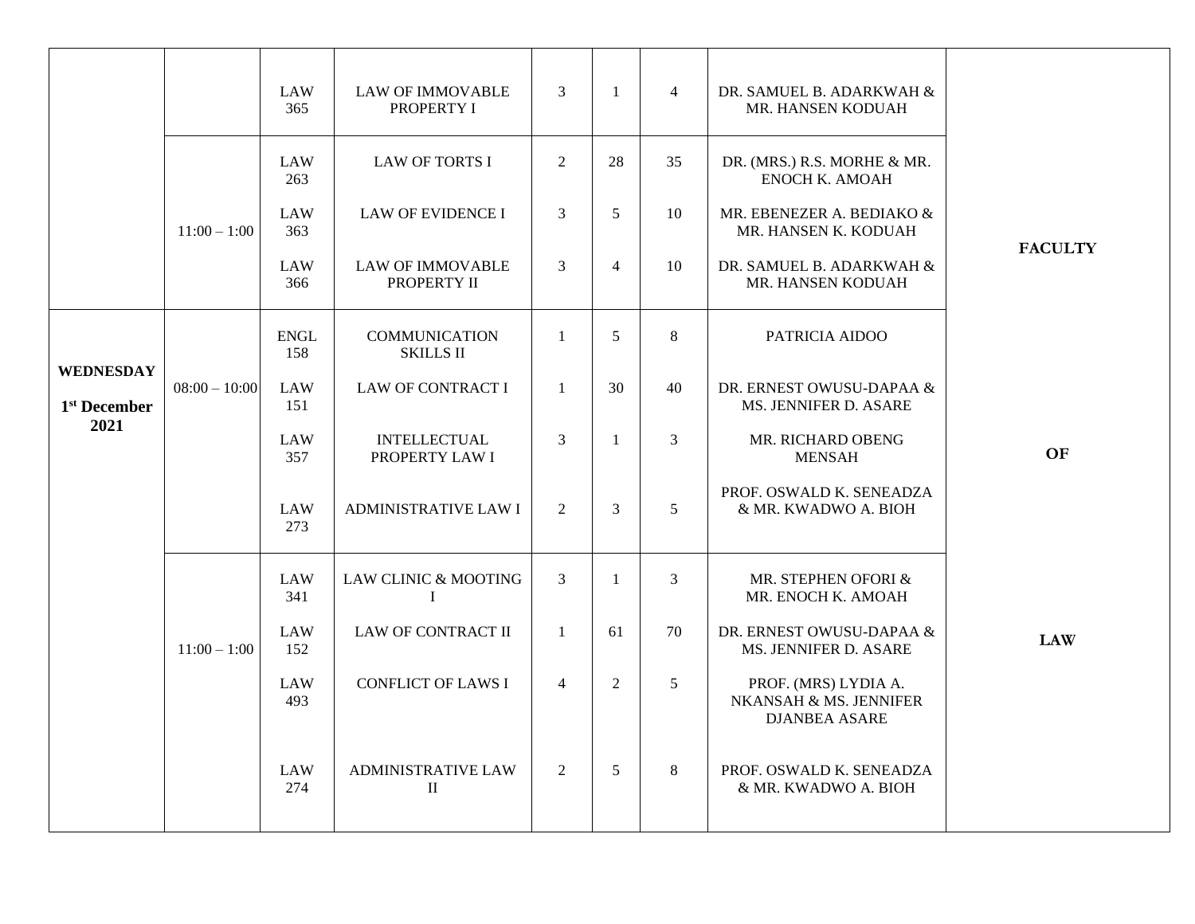|                |                 | <b>LAW</b><br>365  | <b>LAW OF IMMOVABLE</b><br>PROPERTY I     | 3              | 1              | $\overline{4}$ | DR. SAMUEL B. ADARKWAH &<br>MR. HANSEN KODUAH                          |                |
|----------------|-----------------|--------------------|-------------------------------------------|----------------|----------------|----------------|------------------------------------------------------------------------|----------------|
|                |                 | <b>LAW</b><br>263  | <b>LAW OF TORTS I</b>                     | $\overline{2}$ | 28             | 35             | DR. (MRS.) R.S. MORHE & MR.<br><b>ENOCH K. AMOAH</b>                   |                |
|                | $11:00 - 1:00$  | LAW<br>363         | <b>LAW OF EVIDENCE I</b>                  | 3              | 5              | 10             | MR. EBENEZER A. BEDIAKO &<br>MR. HANSEN K. KODUAH                      |                |
|                |                 | LAW<br>366         | <b>LAW OF IMMOVABLE</b><br>PROPERTY II    | 3              | $\overline{4}$ | 10             | DR. SAMUEL B. ADARKWAH &<br>MR. HANSEN KODUAH                          | <b>FACULTY</b> |
| WEDNESDAY      |                 | <b>ENGL</b><br>158 | <b>COMMUNICATION</b><br><b>SKILLS II</b>  | $\mathbf{1}$   | 5 <sup>5</sup> | 8              | PATRICIA AIDOO                                                         |                |
| $1st$ December | $08:00 - 10:00$ | LAW<br>151         | <b>LAW OF CONTRACT I</b>                  | $\mathbf{1}$   | 30             | 40             | DR. ERNEST OWUSU-DAPAA &<br>MS. JENNIFER D. ASARE                      |                |
| 2021           |                 | LAW<br>357         | <b>INTELLECTUAL</b><br>PROPERTY LAW I     | 3              | $\mathbf{1}$   | 3              | MR. RICHARD OBENG<br><b>MENSAH</b>                                     | <b>OF</b>      |
|                |                 | LAW<br>273         | <b>ADMINISTRATIVE LAW I</b>               | $\overline{2}$ | $\overline{3}$ | 5              | PROF. OSWALD K. SENEADZA<br>& MR. KWADWO A. BIOH                       |                |
|                |                 | LAW<br>341         | LAW CLINIC & MOOTING<br>$\bf{I}$          | $\overline{3}$ | $\mathbf{1}$   | $\overline{3}$ | MR. STEPHEN OFORI &<br>MR. ENOCH K. AMOAH                              |                |
|                | $11:00 - 1:00$  | LAW<br>152         | <b>LAW OF CONTRACT II</b>                 | 1              | 61             | 70             | DR. ERNEST OWUSU-DAPAA &<br>MS. JENNIFER D. ASARE                      | <b>LAW</b>     |
|                |                 | LAW<br>493         | <b>CONFLICT OF LAWS I</b>                 | $\overline{4}$ | $\overline{2}$ | 5              | PROF. (MRS) LYDIA A.<br>NKANSAH & MS. JENNIFER<br><b>DJANBEA ASARE</b> |                |
|                |                 | <b>LAW</b><br>274  | <b>ADMINISTRATIVE LAW</b><br>$\mathbf{I}$ | $\overline{2}$ | 5              | 8              | PROF. OSWALD K. SENEADZA<br>& MR. KWADWO A. BIOH                       |                |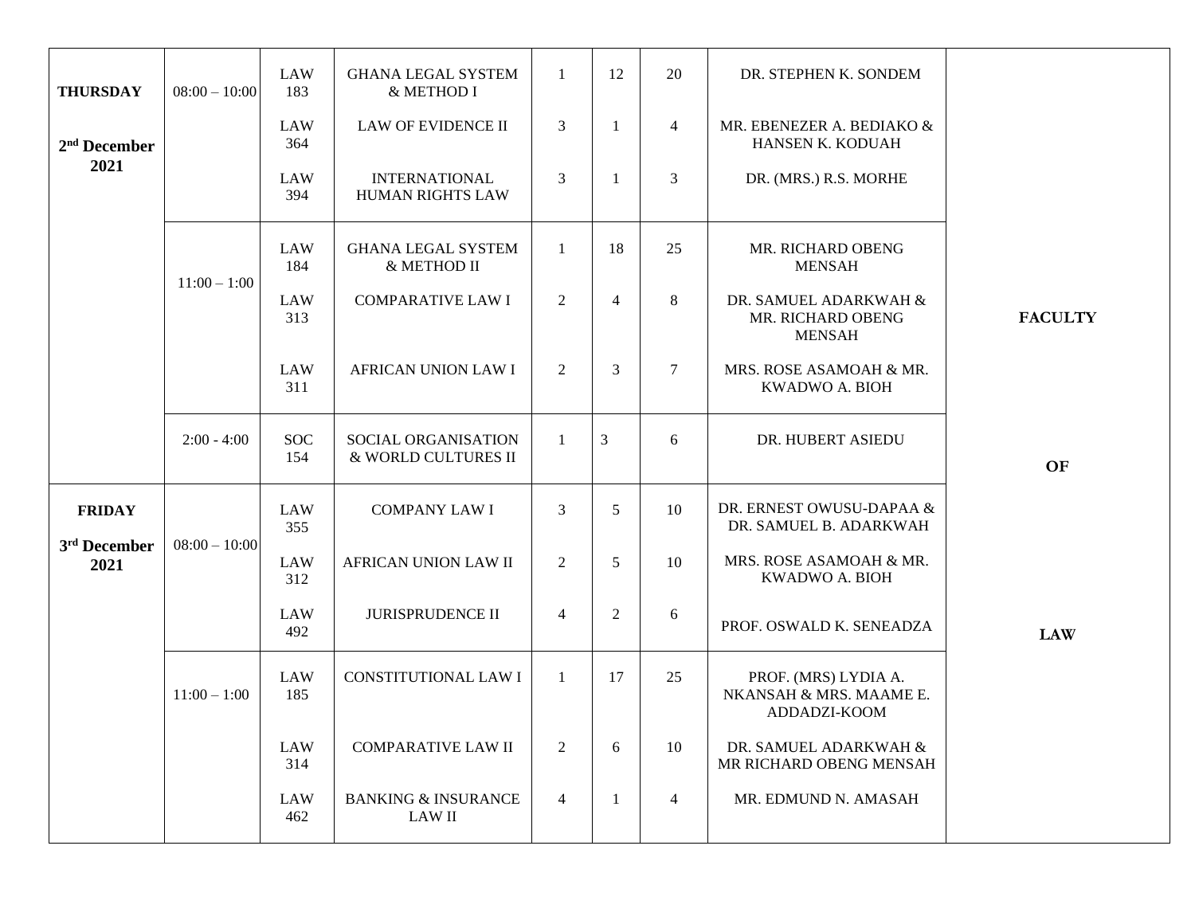| <b>THURSDAY</b>                  | $08:00 - 10:00$ | <b>LAW</b><br>183 | <b>GHANA LEGAL SYSTEM</b><br>& METHOD I         | $\mathbf{1}$   | 12             | 20             | DR. STEPHEN K. SONDEM                                           |                |
|----------------------------------|-----------------|-------------------|-------------------------------------------------|----------------|----------------|----------------|-----------------------------------------------------------------|----------------|
| $2nd$ December                   |                 | <b>LAW</b><br>364 | LAW OF EVIDENCE II                              | 3              | -1             | $\overline{4}$ | MR. EBENEZER A. BEDIAKO &<br>HANSEN K. KODUAH                   |                |
| 2021                             |                 | LAW<br>394        | <b>INTERNATIONAL</b><br><b>HUMAN RIGHTS LAW</b> | 3              | -1             | 3              | DR. (MRS.) R.S. MORHE                                           |                |
|                                  |                 | <b>LAW</b><br>184 | <b>GHANA LEGAL SYSTEM</b><br>& METHOD II        | -1             | 18             | 25             | MR. RICHARD OBENG<br><b>MENSAH</b>                              |                |
|                                  | $11:00 - 1:00$  | <b>LAW</b><br>313 | <b>COMPARATIVE LAW I</b>                        | $\overline{2}$ | $\overline{4}$ | $8\,$          | DR. SAMUEL ADARKWAH &<br>MR. RICHARD OBENG<br><b>MENSAH</b>     | <b>FACULTY</b> |
|                                  |                 | <b>LAW</b><br>311 | AFRICAN UNION LAW I                             | $\overline{2}$ | 3              | $\overline{7}$ | MRS. ROSE ASAMOAH & MR.<br>KWADWO A. BIOH                       |                |
|                                  | $2:00 - 4:00$   | <b>SOC</b><br>154 | SOCIAL ORGANISATION<br>& WORLD CULTURES II      | $\mathbf{1}$   | 3              | 6              | DR. HUBERT ASIEDU                                               | OF             |
| <b>FRIDAY</b>                    |                 | <b>LAW</b><br>355 | <b>COMPANY LAW I</b>                            | 3              | 5              | 10             | DR. ERNEST OWUSU-DAPAA &<br>DR. SAMUEL B. ADARKWAH              |                |
| 3 <sup>rd</sup> December<br>2021 | $08:00 - 10:00$ | <b>LAW</b><br>312 | AFRICAN UNION LAW II                            | $\overline{2}$ | 5              | 10             | MRS. ROSE ASAMOAH & MR.<br>KWADWO A. BIOH                       |                |
|                                  |                 | <b>LAW</b><br>492 | <b>JURISPRUDENCE II</b>                         | $\overline{4}$ | 2              | 6              | PROF. OSWALD K. SENEADZA                                        | <b>LAW</b>     |
|                                  | $11:00 - 1:00$  | <b>LAW</b><br>185 | <b>CONSTITUTIONAL LAW I</b>                     | $\overline{1}$ | 17             | 25             | PROF. (MRS) LYDIA A.<br>NKANSAH & MRS. MAAME E.<br>ADDADZI-KOOM |                |
|                                  |                 | <b>LAW</b><br>314 | <b>COMPARATIVE LAW II</b>                       | $\overline{2}$ | 6              | 10             | DR. SAMUEL ADARKWAH &<br>MR RICHARD OBENG MENSAH                |                |
|                                  |                 | <b>LAW</b><br>462 | <b>BANKING &amp; INSURANCE</b><br>LAW II        | $\overline{4}$ | -1             | $\overline{4}$ | MR. EDMUND N. AMASAH                                            |                |
|                                  |                 |                   |                                                 |                |                |                |                                                                 |                |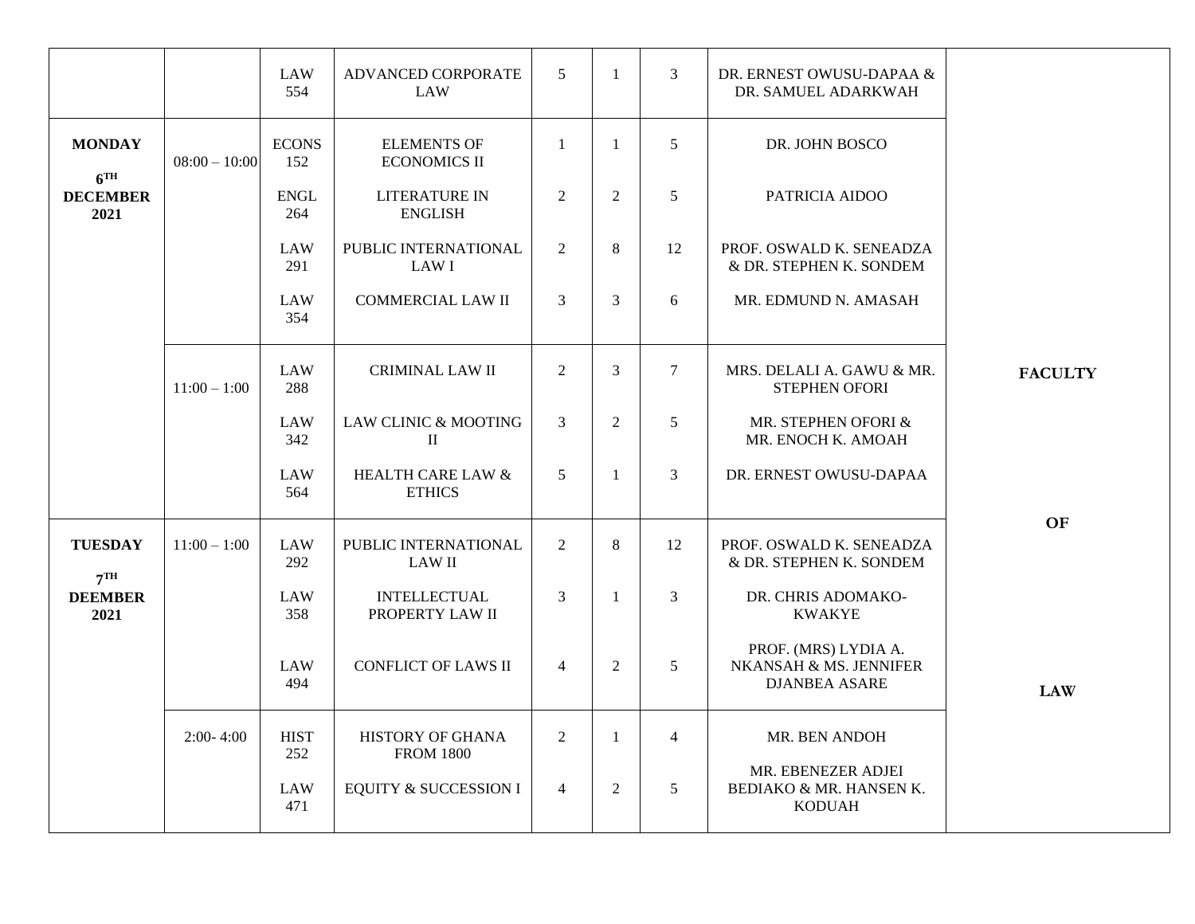|                                  |                 | LAW<br>554          | ADVANCED CORPORATE<br>LAW                     | 5              | $\mathbf{1}$   | 3              | DR. ERNEST OWUSU-DAPAA &<br>DR. SAMUEL ADARKWAH                        |                |
|----------------------------------|-----------------|---------------------|-----------------------------------------------|----------------|----------------|----------------|------------------------------------------------------------------------|----------------|
| <b>MONDAY</b><br>6 <sup>TH</sup> | $08:00 - 10:00$ | <b>ECONS</b><br>152 | <b>ELEMENTS OF</b><br><b>ECONOMICS II</b>     | $\mathbf{1}$   | $\mathbf{1}$   | $\overline{5}$ | DR. JOHN BOSCO                                                         |                |
| <b>DECEMBER</b><br>2021          |                 | <b>ENGL</b><br>264  | <b>LITERATURE IN</b><br><b>ENGLISH</b>        | $\overline{2}$ | $\overline{2}$ | 5              | PATRICIA AIDOO                                                         |                |
|                                  |                 | LAW<br>291          | PUBLIC INTERNATIONAL<br>LAW I                 | 2              | 8              | 12             | PROF. OSWALD K. SENEADZA<br>& DR. STEPHEN K. SONDEM                    |                |
|                                  |                 | LAW<br>354          | <b>COMMERCIAL LAW II</b>                      | 3              | 3              | 6              | MR. EDMUND N. AMASAH                                                   |                |
|                                  | $11:00 - 1:00$  | <b>LAW</b><br>288   | <b>CRIMINAL LAW II</b>                        | $\overline{2}$ | 3              | $\tau$         | MRS. DELALI A. GAWU & MR.<br><b>STEPHEN OFORI</b>                      | <b>FACULTY</b> |
|                                  |                 | <b>LAW</b><br>342   | LAW CLINIC & MOOTING<br>$\rm II$              | 3              | $\overline{2}$ | 5              | MR. STEPHEN OFORI &<br>MR. ENOCH K. AMOAH                              |                |
|                                  |                 | LAW<br>564          | <b>HEALTH CARE LAW &amp;</b><br><b>ETHICS</b> | 5              | $\mathbf{1}$   | 3              | DR. ERNEST OWUSU-DAPAA                                                 |                |
| <b>TUESDAY</b><br>7TH            | $11:00 - 1:00$  | <b>LAW</b><br>292   | PUBLIC INTERNATIONAL<br><b>LAW II</b>         | $\overline{2}$ | 8              | 12             | PROF. OSWALD K. SENEADZA<br>& DR. STEPHEN K. SONDEM                    | <b>OF</b>      |
| <b>DEEMBER</b><br>2021           |                 | LAW<br>358          | <b>INTELLECTUAL</b><br>PROPERTY LAW II        | 3              | $\mathbf{1}$   | 3              | DR. CHRIS ADOMAKO-<br><b>KWAKYE</b>                                    |                |
|                                  |                 | LAW<br>494          | <b>CONFLICT OF LAWS II</b>                    | $\overline{4}$ | $\overline{2}$ | 5              | PROF. (MRS) LYDIA A.<br>NKANSAH & MS. JENNIFER<br><b>DJANBEA ASARE</b> | <b>LAW</b>     |
|                                  | $2:00 - 4:00$   | <b>HIST</b><br>252  | HISTORY OF GHANA<br><b>FROM 1800</b>          | $\overline{2}$ | 1              | $\overline{4}$ | MR. BEN ANDOH                                                          |                |
|                                  |                 | LAW<br>471          | EQUITY & SUCCESSION I                         | $\overline{4}$ | 2              | 5              | MR. EBENEZER ADJEI<br>BEDIAKO & MR. HANSEN K.<br><b>KODUAH</b>         |                |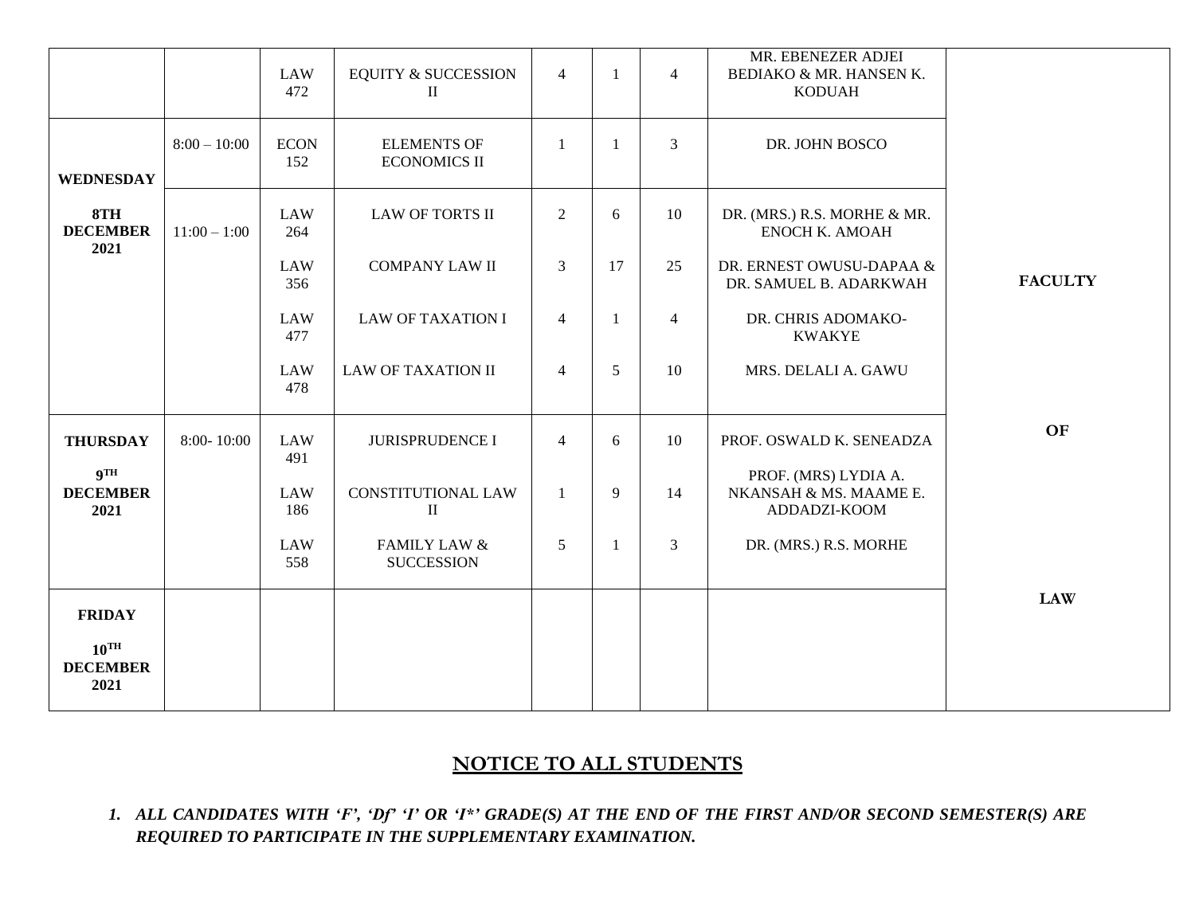|                                       |                | <b>LAW</b><br>472  | <b>EQUITY &amp; SUCCESSION</b><br>$\mathbf{I}$ | $\overline{4}$  | -1           | $\overline{4}$ | MR. EBENEZER ADJEI<br>BEDIAKO & MR. HANSEN K.<br><b>KODUAH</b> |                |
|---------------------------------------|----------------|--------------------|------------------------------------------------|-----------------|--------------|----------------|----------------------------------------------------------------|----------------|
| <b>WEDNESDAY</b>                      | $8:00 - 10:00$ | <b>ECON</b><br>152 | <b>ELEMENTS OF</b><br><b>ECONOMICS II</b>      | $\mathbf{1}$    | $\mathbf{1}$ | $\overline{3}$ | DR. JOHN BOSCO                                                 |                |
| 8TH<br><b>DECEMBER</b><br>2021        | $11:00 - 1:00$ | <b>LAW</b><br>264  | <b>LAW OF TORTS II</b>                         | $\overline{2}$  | 6            | 10             | DR. (MRS.) R.S. MORHE & MR.<br><b>ENOCH K. AMOAH</b>           |                |
|                                       |                | <b>LAW</b><br>356  | <b>COMPANY LAW II</b>                          | $\overline{3}$  | 17           | 25             | DR. ERNEST OWUSU-DAPAA &<br>DR. SAMUEL B. ADARKWAH             | <b>FACULTY</b> |
|                                       |                | <b>LAW</b><br>477  | <b>LAW OF TAXATION I</b>                       | $\overline{4}$  | $\mathbf{1}$ | $\overline{4}$ | DR. CHRIS ADOMAKO-<br><b>KWAKYE</b>                            |                |
|                                       |                | <b>LAW</b><br>478  | <b>LAW OF TAXATION II</b>                      | $\overline{4}$  | 5            | 10             | MRS. DELALI A. GAWU                                            |                |
| <b>THURSDAY</b>                       | $8:00 - 10:00$ | <b>LAW</b><br>491  | <b>JURISPRUDENCE I</b>                         | $\overline{4}$  | 6            | 10             | PROF. OSWALD K. SENEADZA                                       | OF             |
| <b>9TH</b><br><b>DECEMBER</b><br>2021 |                | <b>LAW</b><br>186  | <b>CONSTITUTIONAL LAW</b><br>$\mathbf{I}$      | $\mathbf{1}$    | 9            | 14             | PROF. (MRS) LYDIA A.<br>NKANSAH & MS. MAAME E.<br>ADDADZI-KOOM |                |
|                                       |                | <b>LAW</b><br>558  | <b>FAMILY LAW &amp;</b><br><b>SUCCESSION</b>   | $5\overline{)}$ | $\mathbf{1}$ | $\mathfrak{Z}$ | DR. (MRS.) R.S. MORHE                                          |                |
| <b>FRIDAY</b>                         |                |                    |                                                |                 |              |                |                                                                | <b>LAW</b>     |
| $10^{TH}$<br><b>DECEMBER</b><br>2021  |                |                    |                                                |                 |              |                |                                                                |                |

# **NOTICE TO ALL STUDENTS**

*1. ALL CANDIDATES WITH 'F', 'Df' 'I' OR 'I\*' GRADE(S) AT THE END OF THE FIRST AND/OR SECOND SEMESTER(S) ARE REQUIRED TO PARTICIPATE IN THE SUPPLEMENTARY EXAMINATION.*